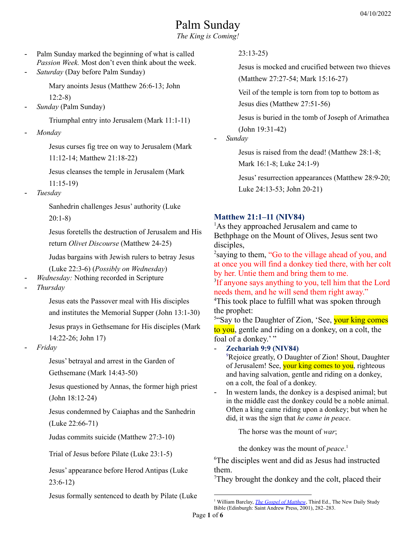# Palm Sunday

*The King is Coming!*

- Palm Sunday marked the beginning of what is called *Passion Week.* Most don't even think about the week.
- *Saturday* (Day before Palm Sunday)

Mary anoints Jesus (Matthew 26:6-13; John 12:2-8)

- *Sunday* (Palm Sunday)

Triumphal entry into Jerusalem (Mark 11:1-11)

- *Monday*

Jesus curses fig tree on way to Jerusalem (Mark 11:12-14; Matthew 21:18-22)

Jesus cleanses the temple in Jerusalem (Mark 11:15-19)

- *Tuesday*

Sanhedrin challenges Jesus' authority (Luke 20:1-8)

Jesus foretells the destruction of Jerusalem and His return *Olivet Discourse* (Matthew 24-25)

Judas bargains with Jewish rulers to betray Jesus (Luke 22:3-6) (*Possibly on Wednesday*)

- *Wednesday:* Nothing recorded in Scripture
- *Thursday*

Jesus eats the Passover meal with His disciples

and institutes the Memorial Supper (John 13:1-30)

Jesus prays in Gethsemane for His disciples (Mark 14:22-26; John 17)

- *Friday*

Jesus' betrayal and arrest in the Garden of Gethsemane (Mark 14:43-50)

Jesus questioned by Annas, the former high priest (John 18:12-24)

Jesus condemned by Caiaphas and the Sanhedrin (Luke 22:66-71)

Judas commits suicide (Matthew 27:3-10)

Trial of Jesus before Pilate (Luke 23:1-5)

Jesus' appearance before Herod Antipas (Luke 23:6-12)

Jesus formally sentenced to death by Pilate (Luke

#### 23:13-25)

Jesus is mocked and crucified between two thieves (Matthew 27:27-54; Mark 15:16-27)

Veil of the temple is torn from top to bottom as Jesus dies (Matthew 27:51-56)

Jesus is buried in the tomb of Joseph of Arimathea (John 19:31-42)

- *Sunday*

Jesus is raised from the dead! (Matthew 28:1-8; Mark 16:1-8; Luke 24:1-9)

Jesus' resurrection appearances (Matthew 28:9-20; Luke 24:13-53; John 20-21)

## **Matthew 21:1–11 (NIV84)**

<sup>1</sup>As they approached Jerusalem and came to Bethphage on the Mount of Olives, Jesus sent two disciples,

<sup>2</sup>saying to them, "Go to the village ahead of you, and at once you will find a donkey tied there, with her colt by her. Untie them and bring them to me.

<sup>3</sup>If anyone says anything to you, tell him that the Lord needs them, and he will send them right away."

<sup>4</sup>This took place to fulfill what was spoken through the prophet:

<sup>5"</sup>Say to the Daughter of Zion, 'See, your king comes to you, gentle and riding on a donkey, on a colt, the foal of a donkey.'"

- **Zechariah 9:9 (NIV84)**

<sup>9</sup>Rejoice greatly, O Daughter of Zion! Shout, Daughter of Jerusalem! See, your king comes to you, righteous and having salvation, gentle and riding on a donkey, on a colt, the foal of a donkey.

In western lands, the donkey is a despised animal; but in the middle east the donkey could be a noble animal. Often a king came riding upon a donkey; but when he did, it was the sign that *he came in peace*.

The horse was the mount of *war*;

the donkey was the mount of *peace*. 1

<sup>6</sup>The disciples went and did as Jesus had instructed them.

<sup>7</sup>They brought the donkey and the colt, placed their

<sup>1</sup> William Barclay, *The Gospel of [Matthew](https://ref.ly/logosres/ndsb61mtv02?ref=Bible.Mt21.1-11&off=10920&ctx=al+meaning+of+that.+~In+western+lands%2c+th)*, Third Ed., The New Daily Study Bible (Edinburgh: Saint Andrew Press, 2001), 282–283.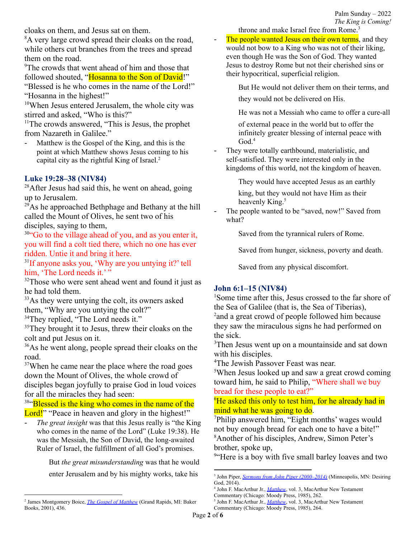cloaks on them, and Jesus sat on them.

<sup>8</sup>A very large crowd spread their cloaks on the road, while others cut branches from the trees and spread them on the road.

<sup>9</sup>The crowds that went ahead of him and those that followed shouted, "Hosanna to the Son of David!"

"Blessed is he who comes in the name of the Lord!" "Hosanna in the highest!"

<sup>10</sup>When Jesus entered Jerusalem, the whole city was stirred and asked, "Who is this?"

 $<sup>11</sup>$ The crowds answered, "This is Jesus, the prophet</sup> from Nazareth in Galilee."

Matthew is the Gospel of the King, and this is the point at which Matthew shows Jesus coming to his capital city as the rightful King of Israel. 2

# **Luke 19:28–38 (NIV84)**

<sup>28</sup>After Jesus had said this, he went on ahead, going up to Jerusalem.

 $^{29}$ As he approached Bethphage and Bethany at the hill called the Mount of Olives, he sent two of his disciples, saying to them,

<sup>30"</sup>Go to the village ahead of you, and as you enter it, you will find a colt tied there, which no one has ever ridden. Untie it and bring it here.

31 If anyone asks you, 'Why are you untying it?' tell him, 'The Lord needs it.'"

<sup>32</sup>Those who were sent ahead went and found it just as he had told them.

<sup>33</sup>As they were untying the colt, its owners asked them, "Why are you untying the colt?"

<sup>34</sup>They replied, "The Lord needs it."

<sup>35</sup>They brought it to Jesus, threw their cloaks on the colt and put Jesus on it.

<sup>36</sup>As he went along, people spread their cloaks on the road.

<sup>37</sup>When he came near the place where the road goes down the Mount of Olives, the whole crowd of disciples began joyfully to praise God in loud voices for all the miracles they had seen:

<sup>38"</sup>Blessed is the king who comes in the name of the Lord!" "Peace in heaven and glory in the highest!"

- *The great insight* was that this Jesus really is "the King who comes in the name of the Lord" (Luke 19:38). He was the Messiah, the Son of David, the long-awaited Ruler of Israel, the fulfillment of all God's promises.

> But *the great misunderstanding* was that he would enter Jerusalem and by his mighty works, take his

throne and make Israel free from Rome. 3

- The people wanted Jesus on their own terms, and they would not bow to a King who was not of their liking, even though He was the Son of God. They wanted Jesus to destroy Rome but not their cherished sins or their hypocritical, superficial religion.

But He would not deliver them on their terms, and

they would not be delivered on His.

He was not a Messiah who came to offer a cure-all

of external peace in the world but to offer the infinitely greater blessing of internal peace with God. 4

They were totally earthbound, materialistic, and self-satisfied. They were interested only in the kingdoms of this world, not the kingdom of heaven.

They would have accepted Jesus as an earthly

king, but they would not have Him as their heavenly King.<sup>5</sup>

The people wanted to be "saved, now!" Saved from what?

Saved from the tyrannical rulers of Rome.

Saved from hunger, sickness, poverty and death.

Saved from any physical discomfort.

# **John 6:1–15 (NIV84)**

<sup>1</sup>Some time after this, Jesus crossed to the far shore of the Sea of Galilee (that is, the Sea of Tiberias),

<sup>2</sup> and a great crowd of people followed him because they saw the miraculous signs he had performed on the sick.

<sup>3</sup>Then Jesus went up on a mountainside and sat down with his disciples.

<sup>4</sup>The Jewish Passover Feast was near.

<sup>5</sup>When Jesus looked up and saw a great crowd coming toward him, he said to Philip, "Where shall we buy bread for these people to eat?"

 ${}^{6}$ He asked this only to test him, for he already had in mind what he was going to do.

<sup>7</sup>Philip answered him, "Eight months' wages would not buy enough bread for each one to have a bite!" <sup>8</sup>Another of his disciples, Andrew, Simon Peter's brother, spoke up,

<sup>9"</sup>Here is a boy with five small barley loaves and two

<sup>2</sup> James Montgomery Boice, *The Gospel of [Matthew](https://ref.ly/logosres/boicecm61bmt?ref=Bible.Mt21.1-11&off=7801&ctx=r+is+it+emphasized.+~Matthew+is+the+Gospe)* (Grand Rapids, MI: Baker Books, 2001), 436.

<sup>3</sup> John Piper, *Sermons from John Piper [\(2000–2014\)](https://ref.ly/logosres/srmpiper2000?art=sermon.129&off=4731&ctx=t+misunderstanding.+~The+great+insight+wa)* (Minneapolis, MN: Desiring God, 2014).

<sup>4</sup> John F. MacArthur Jr., *[Matthew](https://ref.ly/logosres/mattmntc?ref=Bible.Mt21.8-9&off=5885&ctx=s%EF%BB%BF%E2%80%9D+(%EF%BB%BFLuke+19%3a14%EF%BB%BF).%0a~The+people+wanted+Je)*, vol. 3, MacArthur New Testament Commentary (Chicago: Moody Press, 1985), 262.

<sup>5</sup> John F. MacArthur Jr., *[Matthew](https://ref.ly/logosres/mattmntc?ref=Bible.Mt21.10-11&off=1481&ctx=d+and+His+lordship.+~They+were+totally+ea)*, vol. 3, MacArthur New Testament Commentary (Chicago: Moody Press, 1985), 264.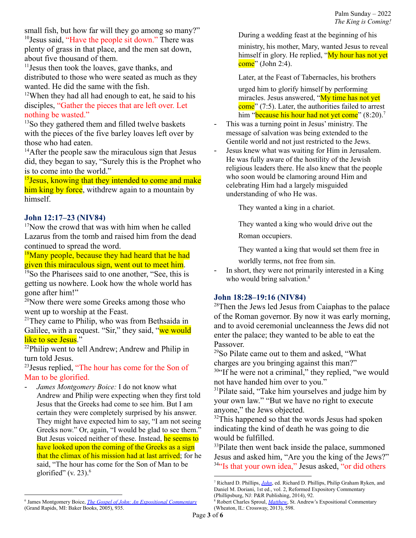small fish, but how far will they go among so many?" <sup>10</sup>Jesus said, "Have the people sit down." There was plenty of grass in that place, and the men sat down, about five thousand of them.

<sup>11</sup> Jesus then took the loaves, gave thanks, and distributed to those who were seated as much as they wanted. He did the same with the fish.

 $12$ When they had all had enough to eat, he said to his disciples, "Gather the pieces that are left over. Let nothing be wasted."

 $13$ So they gathered them and filled twelve baskets with the pieces of the five barley loaves left over by those who had eaten.

 $14$ After the people saw the miraculous sign that Jesus did, they began to say, "Surely this is the Prophet who is to come into the world."

<sup>15</sup> Jesus, knowing that they intended to come and make him king by force, withdrew again to a mountain by himself.

#### **John 12:17–23 (NIV84)**

 $17$ Now the crowd that was with him when he called Lazarus from the tomb and raised him from the dead continued to spread the word.

 $18$ Many people, because they had heard that he had given this miraculous sign, went out to meet him.

<sup>19</sup>So the Pharisees said to one another, "See, this is getting us nowhere. Look how the whole world has gone after him!"

 $20$ Now there were some Greeks among those who went up to worship at the Feast.

 $21$ They came to Philip, who was from Bethsaida in Galilee, with a request. "Sir," they said, "we would like to see Jesus."

 $22$ Philip went to tell Andrew; Andrew and Philip in turn told Jesus.

<sup>23</sup>Jesus replied, "The hour has come for the Son of Man to be glorified.

- *James Montgomery Boice:* I do not know what Andrew and Philip were expecting when they first told Jesus that the Greeks had come to see him. But I am certain they were completely surprised by his answer. They might have expected him to say, "I am not seeing Greeks now." Or, again, "I would be glad to see them." But Jesus voiced neither of these. Instead, he seems to have looked upon the coming of the Greeks as a sign that the climax of his mission had at last arrived; for he said, "The hour has come for the Son of Man to be glorified" (v. 23). $<sup>6</sup>$ </sup>

ministry, his mother, Mary, wanted Jesus to reveal himself in glory. He replied, "My hour has not yet come" (John 2:4).

Later, at the Feast of Tabernacles, his brothers

urged him to glorify himself by performing miracles. Jesus answered, "My time has not yet come" (7:5). Later, the authorities failed to arrest him "<mark>because his hour had not yet come</mark>" (8:20).<sup>7</sup>

- This was a turning point in Jesus' ministry. The message of salvation was being extended to the Gentile world and not just restricted to the Jews.
- Jesus knew what was waiting for Him in Jerusalem. He was fully aware of the hostility of the Jewish religious leaders there. He also knew that the people who soon would be clamoring around Him and celebrating Him had a largely misguided understanding of who He was.

They wanted a king in a chariot.

They wanted a king who would drive out the Roman occupiers.

They wanted a king that would set them free in worldly terms, not free from sin.

- In short, they were not primarily interested in a King who would bring salvation.<sup>8</sup>

# **John 18:28–19:16 (NIV84)**

<sup>28</sup>Then the Jews led Jesus from Caiaphas to the palace of the Roman governor. By now it was early morning, and to avoid ceremonial uncleanness the Jews did not enter the palace; they wanted to be able to eat the Passover.

<sup>29</sup>So Pilate came out to them and asked, "What charges are you bringing against this man?"

<sup>30"</sup>If he were not a criminal," they replied, "we would not have handed him over to you."

<sup>31</sup>Pilate said, "Take him yourselves and judge him by your own law." "But we have no right to execute anyone," the Jews objected.

 $32$ This happened so that the words Jesus had spoken indicating the kind of death he was going to die would be fulfilled.

<sup>33</sup>Pilate then went back inside the palace, summoned Jesus and asked him, "Are you the king of the Jews?" <sup>34"</sup>Is that your own idea," Jesus asked, "or did others

During a wedding feast at the beginning of his

<sup>7</sup> Richard D. Phillips, *[John](https://ref.ly/logosres/rec64jn?ref=Bible.Jn12.20-26&off=2249&ctx=esus+answered+them%2c+~%E2%80%9CThe+hour+has+come+f)*, ed. Richard D. Phillips, Philip Graham Ryken, and Daniel M. Doriani, 1st ed., vol. 2, Reformed Expository Commentary (Phillipsburg, NJ: P&R Publishing, 2014), 92.

<sup>6</sup> James Montgomery Boice, *The Gospel of John: An Expositional [Commentary](https://ref.ly/logosres/boicecm64cjn?ref=Bible.Jn12.20-23&off=5932&ctx=Christ%E2%80%99s+Hour%0a~I+do+not+know+what+Andrew+)* (Grand Rapids, MI: Baker Books, 2005), 935.

<sup>8</sup> Robert Charles Sproul, *[Matthew](https://ref.ly/logosres/sproulmatthew?ref=Bible.Mt21.4-5&off=1847&ctx=bringing+salvation.%0a~Jesus+knew+what+was+)*, St. Andrew's Expositional Commentary (Wheaton, IL: Crossway, 2013), 598.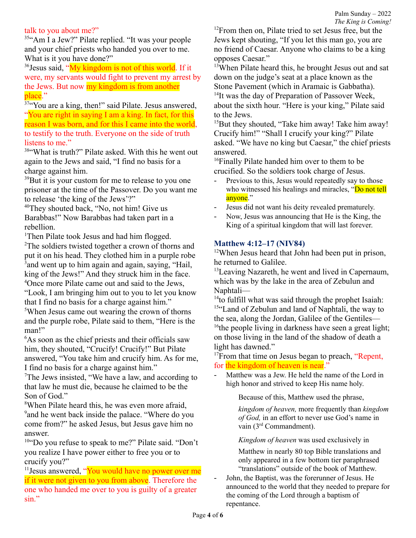## talk to you about me?"

<sup>35"</sup>Am I a Jew?" Pilate replied. "It was your people and your chief priests who handed you over to me. What is it you have done?"

<sup>36</sup> Jesus said, "My kingdom is not of this world. If it were, my servants would fight to prevent my arrest by the Jews. But now my kingdom is from another place."

 $37$ "You are a king, then!" said Pilate. Jesus answered, "You are right in saying I am a king. In fact, for this reason I was born, and for this I came into the world, to testify to the truth. Everyone on the side of truth listens to me."

<sup>38</sup>"What is truth?" Pilate asked. With this he went out again to the Jews and said, "I find no basis for a charge against him.

<sup>39</sup>But it is your custom for me to release to you one prisoner at the time of the Passover. Do you want me to release 'the king of the Jews'?"

<sup>40</sup>They shouted back, "No, not him! Give us Barabbas!" Now Barabbas had taken part in a rebellion.

<sup>1</sup>Then Pilate took Jesus and had him flogged.

<sup>2</sup>The soldiers twisted together a crown of thorns and put it on his head. They clothed him in a purple robe <sup>3</sup> and went up to him again and again, saying, "Hail, king of the Jews!" And they struck him in the face. <sup>4</sup>Once more Pilate came out and said to the Jews, "Look, I am bringing him out to you to let you know that I find no basis for a charge against him." <sup>5</sup>When Jesus came out wearing the crown of thorns and the purple robe, Pilate said to them, "Here is the man!"

<sup>6</sup>As soon as the chief priests and their officials saw him, they shouted, "Crucify! Crucify!" But Pilate answered, "You take him and crucify him. As for me, I find no basis for a charge against him."

<sup>7</sup>The Jews insisted, "We have a law, and according to that law he must die, because he claimed to be the Son of God."

<sup>8</sup>When Pilate heard this, he was even more afraid, <sup>9</sup> and he went back inside the palace. "Where do you come from?" he asked Jesus, but Jesus gave him no answer.

<sup>10</sup>"Do you refuse to speak to me?" Pilate said. "Don't you realize I have power either to free you or to crucify you?"

<sup>11</sup> Jesus answered, "You would have no power over me if it were not given to you from above. Therefore the one who handed me over to you is guilty of a greater sin."

<sup>12</sup>From then on, Pilate tried to set Jesus free, but the Jews kept shouting, "If you let this man go, you are no friend of Caesar. Anyone who claims to be a king opposes Caesar."

<sup>13</sup>When Pilate heard this, he brought Jesus out and sat down on the judge's seat at a place known as the Stone Pavement (which in Aramaic is Gabbatha). <sup>14</sup>It was the day of Preparation of Passover Week, about the sixth hour. "Here is your king," Pilate said to the Jews.

 $15$ But they shouted, "Take him away! Take him away! Crucify him!" "Shall I crucify your king?" Pilate asked. "We have no king but Caesar," the chief priests answered.

<sup>16</sup>Finally Pilate handed him over to them to be crucified. So the soldiers took charge of Jesus.

- Previous to this, Jesus would repeatedly say to those who witnessed his healings and miracles, "Do not tell anyone."
- Jesus did not want his deity revealed prematurely.
- Now, Jesus was announcing that He is the King, the King of a spiritual kingdom that will last forever.

#### **Matthew 4:12–17 (NIV84)**

 $12$ When Jesus heard that John had been put in prison, he returned to Galilee.

<sup>13</sup>Leaving Nazareth, he went and lived in Capernaum, which was by the lake in the area of Zebulun and Naphtali—

<sup>14</sup> to fulfill what was said through the prophet Isaiah: <sup>15"</sup>Land of Zebulun and land of Naphtali, the way to the sea, along the Jordan, Galilee of the Gentiles— <sup>16</sup>the people living in darkness have seen a great light; on those living in the land of the shadow of death a light has dawned."

<sup>17</sup>From that time on Jesus began to preach, "Repent, for the kingdom of heaven is near."

- Matthew was a Jew. He held the name of the Lord in high honor and strived to keep His name holy.

Because of this, Matthew used the phrase,

*kingdom of heaven,* more frequently than *kingdom of God,* in an effort to never use God's name in vain (3<sup>rd</sup> Commandment).

*Kingdom of heaven* was used exclusively in

Matthew in nearly 80 top Bible translations and only appeared in a few bottom tier paraphrased "translations" outside of the book of Matthew.

- John, the Baptist, was the forerunner of Jesus. He announced to the world that they needed to prepare for the coming of the Lord through a baptism of repentance.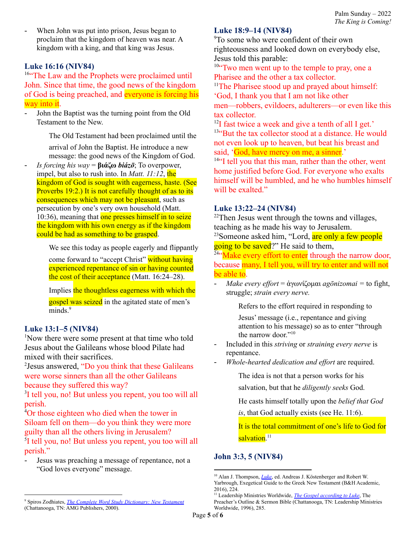When John was put into prison, Jesus began to proclaim that the kingdom of heaven was near. A kingdom with a king, and that king was Jesus.

### **Luke 16:16 (NIV84)**

<sup>16"</sup>The Law and the Prophets were proclaimed until John. Since that time, the good news of the kingdom of God is being preached, and everyone is forcing his way into it.

John the Baptist was the turning point from the Old Testament to the New.

The Old Testament had been proclaimed until the

arrival of John the Baptist. He introduce a new message: the good news of the Kingdom of God.

- *Is forcing his way* = **βιάζω** *biázō*; To overpower, impel, but also to rush into. In *Matt. 11:12*, the kingdom of God is sought with eagerness, haste. (See Proverbs 19:2.) It is not carefully thought of as to its consequences which may not be pleasant, such as persecution by one's very own household (Matt. 10:36), meaning that one presses himself in to seize the kingdom with his own energy as if the kingdom could be had as something to be grasped.

We see this today as people eagerly and flippantly

come forward to "accept Christ" without having experienced repentance of sin or having counted the cost of their acceptance (Matt. 16:24–28).

Implies the thoughtless eagerness with which the gospel was seized in the agitated state of men's minds.<sup>9</sup>

## **Luke 13:1–5 (NIV84)**

<sup>1</sup>Now there were some present at that time who told Jesus about the Galileans whose blood Pilate had mixed with their sacrifices.

<sup>2</sup>Jesus answered, "Do you think that these Galileans were worse sinners than all the other Galileans because they suffered this way?

<sup>3</sup>I tell you, no! But unless you repent, you too will all perish.

<sup>4</sup>Or those eighteen who died when the tower in Siloam fell on them—do you think they were more guilty than all the others living in Jerusalem?

<sup>5</sup>I tell you, no! But unless you repent, you too will all perish."

Jesus was preaching a message of repentance, not a "God loves everyone" message.

#### **Luke 18:9–14 (NIV84)**

<sup>9</sup>To some who were confident of their own righteousness and looked down on everybody else, Jesus told this parable:

<sup>10"</sup>Two men went up to the temple to pray, one a Pharisee and the other a tax collector.

<sup>11</sup>The Pharisee stood up and prayed about himself: 'God, I thank you that I am not like other men—robbers, evildoers, adulterers—or even like this tax collector.

 $12$ I fast twice a week and give a tenth of all I get.' <sup>13"</sup>But the tax collector stood at a distance. He would not even look up to heaven, but beat his breast and said, 'God, have mercy on me, a sinner.'

<sup>14"</sup>I tell you that this man, rather than the other, went home justified before God. For everyone who exalts himself will be humbled, and he who humbles himself will be exalted."

#### **Luke 13:22–24 (NIV84)**

 $22$ Then Jesus went through the towns and villages, teaching as he made his way to Jerusalem.

<sup>23</sup>Someone asked him, "Lord, are only a few people going to be saved?" He said to them,

 $24$ <sup>24"</sup>Make every effort to enter through the narrow door, because many, I tell you, will try to enter and will not be able to.

- *Make every ef ort* = ἀγωνίζομαι *agōnizomai =* to fight, struggle; *strain every nerve.*

Refers to the effort required in responding to

Jesus' message (i.e., repentance and giving attention to his message) so as to enter "through the narrow door." 10

- Included in this *striving* or *straining every nerve* is repentance.
- *Whole-hearted dedication and ef ort* are required.

The idea is not that a person works for his salvation, but that he *diligently seeks* God.

He casts himself totally upon the *belief that God*

*is*, that God actually exists (see He. 11:6).

It is the total commitment of one's life to God for salvation.<sup>11</sup>

# **John 3:3, 5 (NIV84)**

<sup>9</sup> Spiros Zodhiates, *The Complete Word Study [Dictionary:](https://ref.ly/logosres/wsntdict?ref=GreekStrongs.971&off=6&ctx=+%0a971.+~%CE%B2%CE%B9%CE%B1%CC%81%CE%B6%CF%89+bia%CC%81zo%CC%84%3b+fut.+bia%CC%81so%CC%84%2c+fro) New Testament* (Chattanooga, TN: AMG Publishers, 2000).

<sup>&</sup>lt;sup>10</sup> Alan J. Thompson, *[Luke](https://ref.ly/logosres/ws-15de63ebb9be4b708a4bec234be4395a?ref=Bible.Lk13.24&off=528&ctx=s+verse).+The+cstr.+~refers+to+the+effort)*, ed. Andreas J. Köstenberger and Robert W. Yarbrough, Exegetical Guide to the Greek New Testament (B&H Academic, 2016), 224.

<sup>11</sup> Leadership Ministries Worldwide, *The Gospel [according](https://ref.ly/logosres/posbkjv63lu?ref=Bible.Lk13.24&off=1771&ctx=t%2c+labor+fervently.+~Whole-hearted+dedica) to Luke*, The Preacher's Outline & Sermon Bible (Chattanooga, TN: Leadership Ministries Worldwide, 1996), 285.